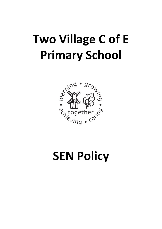# **Two Village C of E Primary School**



## **SEN Policy**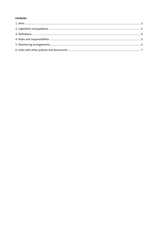#### **Contents**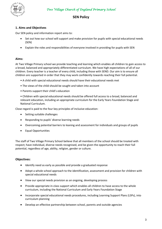

#### **SEN Policy**

#### **1. Aims and Objectives**

Our SEN policy and information report aims to:

- Set out how our school will support and make provision for pupils with special educational needs (SEN)
- Explain the roles and responsibilities of everyone involved in providing for pupils with SEN

#### **Aims:**

At Two Village Primary school we provide teaching and learning which enables all children to gain access to a broad, balanced and appropriately differentiated curriculum. We have high expectations of all of our children. Every teacher is a teacher of every child, including those with SEND. Our aim is to ensure all children are supported in order that they may work confidently towards reaching their full potential.

- A child with special educational needs should have their educational needs met
- The views of the child should be sought and taken into account
- Parents support their child's education

• Children with special educational needs should be offered full access to a broad, balanced and relevant education, including an appropriate curriculum for the Early Years Foundation Stage and National Curriculum.

Close regard is paid to the four key principles of inclusive education:

- Setting suitable challenges
- Responding to pupils' diverse learning needs
- Overcoming potential barriers to leaning and assessment for individuals and groups of pupils
- Equal Opportunities

The staff of Two Village Primary School believe that all members of the school should be treated with respect; have individual, diverse needs recognised, and be given the opportunity to reach their full potential, regardless of age, ability, religion, gender or culture.

#### **Objectives:**

- Identify need as early as possible and provide a graduated response
- Adopt a whole school approach to the identification, assessment and provision for children with special educational needs
- View our special needs provision as an ongoing, developing process
- Provide appropriate in-class support which enables all children to have access to the whole curriculum, including the National Curriculum and Early Years Foundation Stage
- Incorporate special educational needs procedures, including Learning Support Plans (LSPs), into curriculum planning
- Develop an effective partnership between school, parents and outside agencies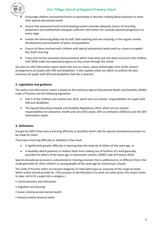

- Encourage children and parents/carers to participate in decision-making about provision to meet their special educational needs
- Ensure that assessment and record-keeping systems provide adequate means of recording attainment and achievement and gives sufficient information for carefully planned progression at every stage
- Involve the Governing Body and all staff, both teaching and non-teaching, in the regular review, development and evaluation of policy and guidelines
- Ensure all those involved with children with special educational needs work as a team to support the child's learning
- Track and monitor provision and procedures which have been put into place to ensure that children with SEND make the expected progress as they move through the school

*See also our SEN information report which sets out our vision, values and broader aims of the school's arrangements for pupils with SEN and disabilities. It also explains what our efforts to achieve the best outcomes for pupils with SEN and disabilities look like in practice.*

#### **2. Legislation and guidance**

This policy and information report is based on the statutory [Special Educational Needs and Disability \(SEND\)](https://www.gov.uk/government/uploads/system/uploads/attachment_data/file/398815/SEND_Code_of_Practice_January_2015.pdf)  [Code of Practice](https://www.gov.uk/government/uploads/system/uploads/attachment_data/file/398815/SEND_Code_of_Practice_January_2015.pdf) and the following legislation:

- [Part 3 of the Children and Families Act 2014,](http://www.legislation.gov.uk/ukpga/2014/6/part/3) which sets out schools' responsibilities for pupils with SEN and disabilities
- [The Special Educational Needs and Disability Regulations 2014,](http://www.legislation.gov.uk/uksi/2014/1530/contents/made) which set out schools' responsibilities for education, health and care (EHC) plans, SEN co-ordinators (SENCOs) and the SEN information report

#### **3. Definitions**

A pupil has SEN if they have a learning difficulty or disability which calls for special educational provision to be made for them.

They have a learning difficulty or disability if they have:

- A significantly greater difficulty in learning than the majority of others of the same age, or
- A disability which prevents or hinders them from making use of facilities of a kind generally provided for others of the same age in mainstream schools. (SEND Code of Practice 2014)

Special educational provision is educational or training provision that is additional to, or different from, that made generally for other children or young people of the same age by mainstream schools.

The Code of Practice refers to 4 broad categories of need which give an overview of the range of needs which school should provide for. (The purpose of identification is to work out what action the school needs to take, not to fit a pupil into a category.)

- Communication and interaction
- Cognition and learning
- Social, emotional and mental health
- Sensory and/or physical needs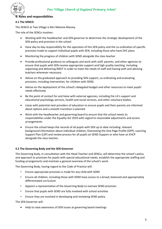

#### **4. Roles and responsibilities**

#### **4.1 The SENCO**

 $\Omega$ 

The SENCO at Two Village is Mrs Melanie Massey.

The role of the SENCo involves:

- Working with the headteacher and SEN governor to determine the strategic development of the SEN policy and provision in the school
- Have day-to-day responsibility for the operation of this SEN policy and the co-ordination of specific provision made to support individual pupils with SEN, including those who have EHC plans
- Monitoring the progress of children with SEND alongside the class teacher
- Provide professional guidance to colleagues and work with staff, parents, and other agencies to ensure that pupils with SEN receive appropriate support and high quality teaching. Including organising and delivering INSET in order to meet the needs of staff and liaising with and advising teachers whenever necessary.
- Advise on the graduated approach to providing SEN support, co-ordinating and evaluating provision, including intervention, for children with SEND.
- Advise on the deployment of the school's delegated budget and other resources to meet pupils' needs effectively
- Be the point of contact for and liaise with external agencies, including the LA's support and educational psychology services, health and social services, and other voluntary bodies.
- Liaise with potential next providers of education to ensure pupils and their parents are informed about options and a smooth transition is planned
- Work with the headteacher and governing board to ensure that the school meets its responsibilities under the Equality Act 2010 with regard to reasonable adjustments and access arrangements
- Ensure the school keeps the records of all pupils with SEN up to date including: relevant background information about individual children, Overseeing the One Page Profile (OPP), Learning Support Plan (LSP) and review process for all pupils on SEND Support or who have an EHCP alongside the class teacher.

#### **4.2 The Governing Body and the SEN Governor**

The Governing body, in consultation with the Head Teacher and SENCo, will determine the school's policy and approach to provision for pupils with special educational needs, establish the appropriate staffing and funding arrangements and maintain a general overview of the school's work.

The Governing Body, having regard to the Code of Practice will:

- Ensure appropriate provision is made for any child with SEND
- Ensure all children, including those with SEND have access to a broad, balanced and appropriately differentiated curriculum
- Appoint a representative of the Governing Body to oversee SEND provision
- Ensure that pupils with SEND are fully involved with school activities
- Ensure they are involved in developing and reviewing SEND policy

The SEN Governor will:

Help to raise awareness of SEN issues at governing board meetings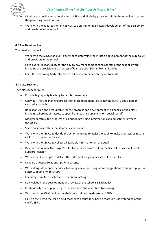

- Monitor the quality and effectiveness of SEN and disability provision within the school and update the governing board on this
- Work with the headteacher and SENCO to determine the strategic development of the SEN policy and provision in the school

#### **4.3 The Headteacher**

The headteacher will:

- Work with the SENCO and SEN governor to determine the strategic development of the SEN policy and provision in the school
- Have overall responsibility for the day-to-day management of all aspects of the school's work, including the provision and progress of learners with SEN and/or a disability.
- Keep the Governing Body informed of all developments with regard to SEND.

#### **4.4 Class Teachers**

Each class teacher must:

- Provide high quality teaching for all class members
- Carry out The One Planning process for all children identified as having SEND, using a person centred approach.
- Be responsible and accountable for the progress and development of all pupils in their class, including where pupils access support from teaching assistants or specialist staff
- Monitor carefully the progress of all pupils, providing interventions and adjustments where necessary
- Share concerns with parents/carers as they arise
- Work with the SENCo to decide the action required to assist the pupil to make progress, using the cycle: assess-plan-do-review
- Work with the SENCo to collect all available information on the pupil
- Develop and review One Page Profiles for pupils who are put on the Special Educational Needs Support Register
- Work with SEND pupils to deliver the individual programmes set out in their LSPs
- Develop effective relationships with parents
- Work alongside support services, following advice and programme suggestions to support pupils on SEND Support or with EHCPs
- Encourage pupils to participate in decision making
- Be involved in the development and review of the school's SEND policy
- Continuously assess pupil progress and identify the next steps to learning
- Work with the SENCo to identify their own training needs around SEND
- Liaise closely with the child's next teacher to ensure they have a thorough understanding of the child's SEND